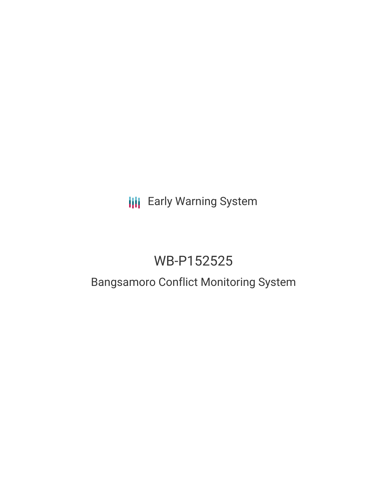## **III** Early Warning System

# WB-P152525

### Bangsamoro Conflict Monitoring System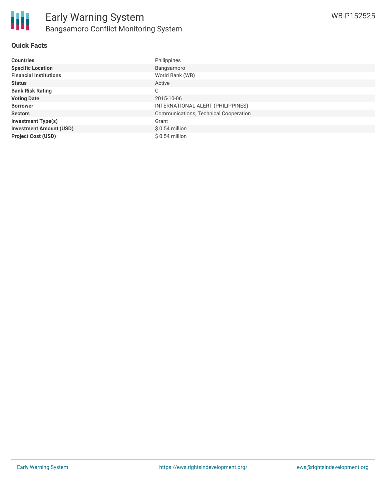#### **Quick Facts**

| <b>Countries</b>               | Philippines                           |
|--------------------------------|---------------------------------------|
| <b>Specific Location</b>       | Bangsamoro                            |
| <b>Financial Institutions</b>  | World Bank (WB)                       |
| <b>Status</b>                  | Active                                |
| <b>Bank Risk Rating</b>        | C                                     |
| <b>Voting Date</b>             | 2015-10-06                            |
| <b>Borrower</b>                | INTERNATIONAL ALERT (PHILIPPINES)     |
| <b>Sectors</b>                 | Communications, Technical Cooperation |
| <b>Investment Type(s)</b>      | Grant                                 |
| <b>Investment Amount (USD)</b> | $$0.54$ million                       |
| <b>Project Cost (USD)</b>      | $$0.54$ million                       |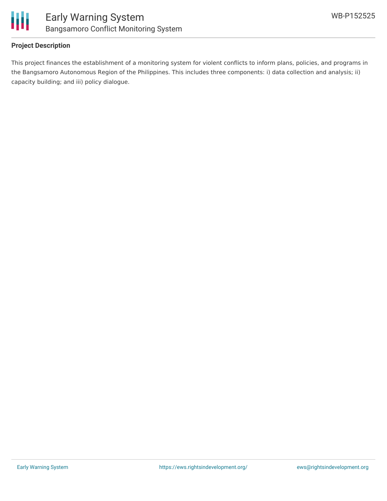

#### **Project Description**

This project finances the establishment of a monitoring system for violent conflicts to inform plans, policies, and programs in the Bangsamoro Autonomous Region of the Philippines. This includes three components: i) data collection and analysis; ii) capacity building; and iii) policy dialogue.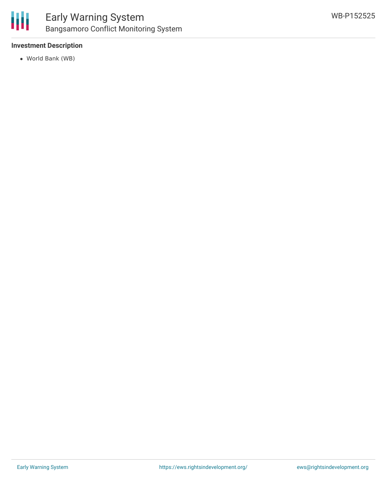

#### **Investment Description**

World Bank (WB)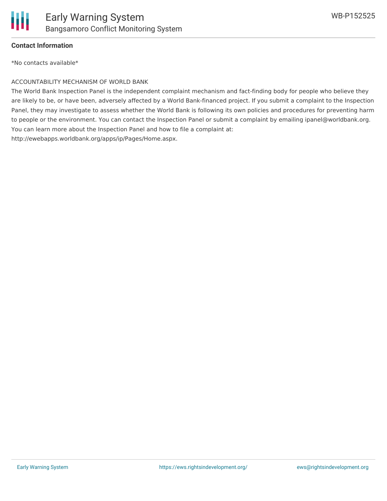

#### **Contact Information**

\*No contacts available\*

#### ACCOUNTABILITY MECHANISM OF WORLD BANK

The World Bank Inspection Panel is the independent complaint mechanism and fact-finding body for people who believe they are likely to be, or have been, adversely affected by a World Bank-financed project. If you submit a complaint to the Inspection Panel, they may investigate to assess whether the World Bank is following its own policies and procedures for preventing harm to people or the environment. You can contact the Inspection Panel or submit a complaint by emailing ipanel@worldbank.org. You can learn more about the Inspection Panel and how to file a complaint at: http://ewebapps.worldbank.org/apps/ip/Pages/Home.aspx.